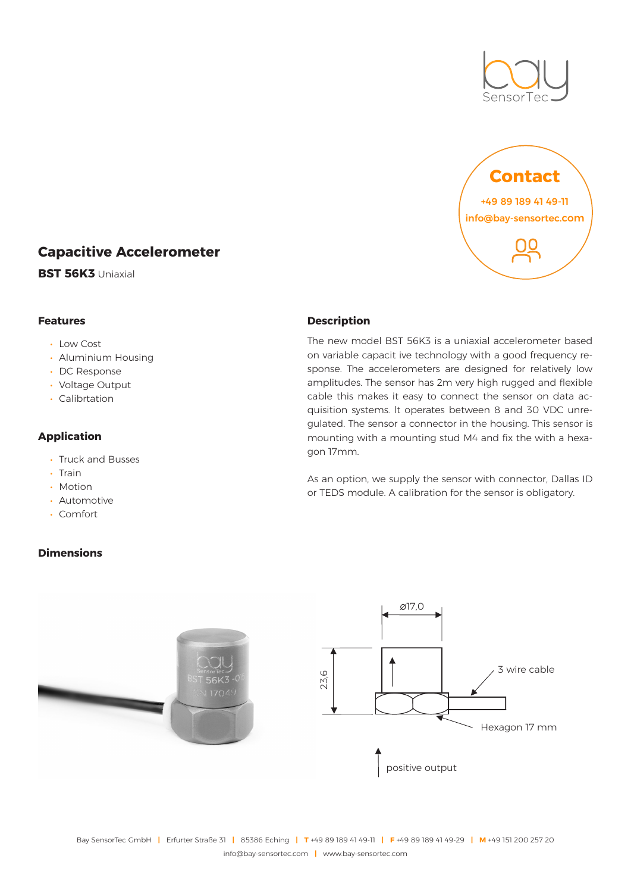



# **Capacitive Accelerometer**

**BST 56K3** Uniaxial

### **Features**

#### • Low Cost

- Aluminium Housing
- DC Response
- Voltage Output
- Calibrtation

# **Application**

- Truck and Busses
- Train
- Motion
- Automotive
- Comfort

# **Dimensions**



The new model BST 56K3 is a uniaxial accelerometer based on variable capacit ive technology with a good frequency response. The accelerometers are designed for relatively low amplitudes. The sensor has 2m very high rugged and flexible cable this makes it easy to connect the sensor on data acquisition systems. lt operates between 8 and 30 VDC unregulated. The sensor a connector in the housing. This sensor is mounting with a mounting stud M4 and fix the with a hexagon 17mm.

As an option, we supply the sensor with connector, Dallas ID or TEDS module. A calibration for the sensor is obligatory.